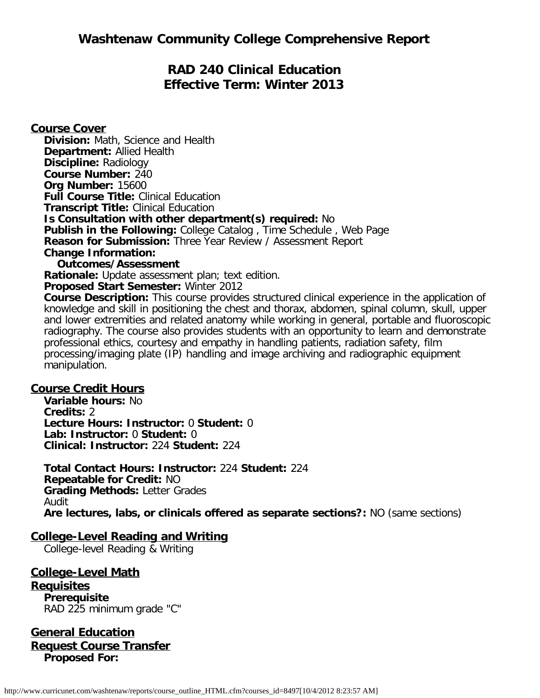# **RAD 240 Clinical Education Effective Term: Winter 2013**

**Course Cover Division:** Math, Science and Health **Department:** Allied Health **Discipline:** Radiology **Course Number:** 240 **Org Number:** 15600 **Full Course Title:** Clinical Education **Transcript Title:** Clinical Education **Is Consultation with other department(s) required:** No **Publish in the Following:** College Catalog , Time Schedule , Web Page **Reason for Submission:** Three Year Review / Assessment Report **Change Information: Outcomes/Assessment**

**Rationale:** Update assessment plan; text edition. **Proposed Start Semester:** Winter 2012

**Course Description:** This course provides structured clinical experience in the application of knowledge and skill in positioning the chest and thorax, abdomen, spinal column, skull, upper and lower extremities and related anatomy while working in general, portable and fluoroscopic radiography. The course also provides students with an opportunity to learn and demonstrate professional ethics, courtesy and empathy in handling patients, radiation safety, film processing/imaging plate (IP) handling and image archiving and radiographic equipment manipulation.

# **Course Credit Hours**

**Variable hours:** No **Credits:** 2 **Lecture Hours: Instructor:** 0 **Student:** 0 **Lab: Instructor:** 0 **Student:** 0 **Clinical: Instructor:** 224 **Student:** 224

**Total Contact Hours: Instructor:** 224 **Student:** 224 **Repeatable for Credit:** NO **Grading Methods:** Letter Grades Audit **Are lectures, labs, or clinicals offered as separate sections?:** NO (same sections)

# **College-Level Reading and Writing**

College-level Reading & Writing

**College-Level Math Requisites Prerequisite** RAD 225 minimum grade "C"

**General Education Request Course Transfer Proposed For:**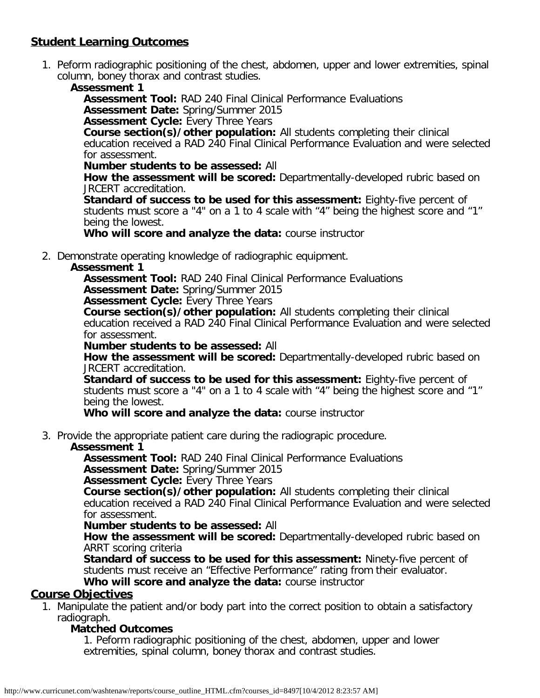# **Student Learning Outcomes**

1. Peform radiographic positioning of the chest, abdomen, upper and lower extremities, spinal column, boney thorax and contrast studies.

### **Assessment 1**

**Assessment Tool:** RAD 240 Final Clinical Performance Evaluations **Assessment Date:** Spring/Summer 2015

**Assessment Cycle:** Every Three Years

**Course section(s)/other population:** All students completing their clinical education received a RAD 240 Final Clinical Performance Evaluation and were selected for assessment.

#### **Number students to be assessed:** All

**How the assessment will be scored:** Departmentally-developed rubric based on JRCERT accreditation.

**Standard of success to be used for this assessment:** Eighty-five percent of students must score a "4" on a 1 to 4 scale with "4" being the highest score and "1" being the lowest.

**Who will score and analyze the data:** course instructor

2. Demonstrate operating knowledge of radiographic equipment.

### **Assessment 1**

**Assessment Tool:** RAD 240 Final Clinical Performance Evaluations

**Assessment Date:** Spring/Summer 2015

**Assessment Cycle:** Every Three Years

**Course section(s)/other population:** All students completing their clinical education received a RAD 240 Final Clinical Performance Evaluation and were selected for assessment.

**Number students to be assessed:** All

**How the assessment will be scored:** Departmentally-developed rubric based on JRCERT accreditation.

**Standard of success to be used for this assessment:** Eighty-five percent of students must score a "4" on a 1 to 4 scale with "4" being the highest score and "1" being the lowest.

**Who will score and analyze the data:** course instructor

3. Provide the appropriate patient care during the radiograpic procedure.

#### **Assessment 1**

**Assessment Tool:** RAD 240 Final Clinical Performance Evaluations **Assessment Date:** Spring/Summer 2015

**Assessment Cycle:** Every Three Years

**Course section(s)/other population:** All students completing their clinical

education received a RAD 240 Final Clinical Performance Evaluation and were selected for assessment.

#### **Number students to be assessed:** All

**How the assessment will be scored:** Departmentally-developed rubric based on ARRT scoring criteria

**Standard of success to be used for this assessment:** Ninety-five percent of students must receive an "Effective Performance" rating from their evaluator.

**Who will score and analyze the data:** course instructor

### **Course Objectives**

1. Manipulate the patient and/or body part into the correct position to obtain a satisfactory radiograph.

### **Matched Outcomes**

1. Peform radiographic positioning of the chest, abdomen, upper and lower extremities, spinal column, boney thorax and contrast studies.